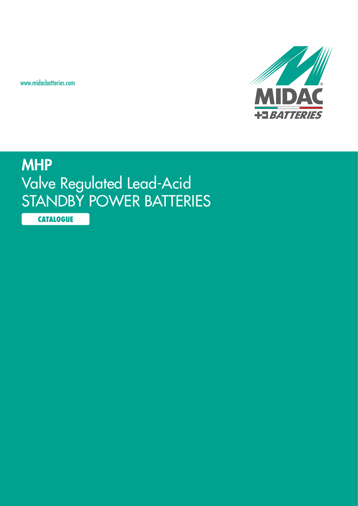www.midacbatteries.com



# **MHP** Valve Regulated Lead-Acid STANDBY POWER BATTERIES

**CATALOGUE**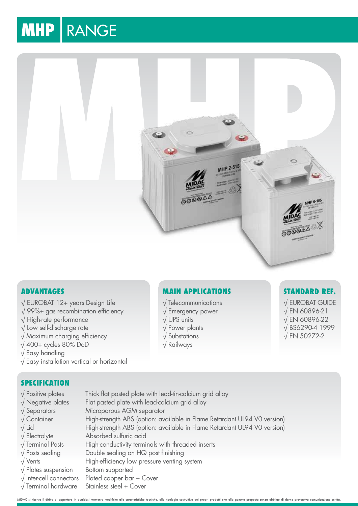# **MHP | RANGE**



## **Advantages**

- √ EUROBAT 12+ years Design Life
- √ 99%+ gas recombination efficiency
- √ High-rate performance
- √ Low self-discharge rate
- √ Maximum charging efficiency
- √ 400+ cycles 80% DoD
- √ Easy handling
- √ Easy installation vertical or horizontal

# **SPECIFICATION**

- √ Positive plates Thick flat pasted plate with lead-tin-calcium grid alloy
- √ Negative plates Flat pasted plate with lead-calcium grid alloy
- √ Separators Microporous AGM separator
- 
- 
- 
- 
- 
- 
- 
- √ Inter-cell connectors Plated copper bar + Cover
- √ Terminal hardware Stainless steel + Cover

# **Main Applications**

- √ Telecommunications
- √ Emergency power
- √ UPS units
- √ Power plants
- √ Substations
- √ Railways

## **Standard Ref.**

√ EUROBAT GUIDE √ EN 60896-21 √ EN 60896-22 √ BS6290-4 1999 √ EN 50272-2

MIDAC si riserva il diritto di apportare in qualsiasi momento modifiche alle caratteristiche tecniche, alla tipologia costruttiva dei propri prodotti e/o alla gamma proposta senza obbligo di darne preventiva com

- √ Container High-strength ABS (option: available in Flame Retardant UL94 V0 version) √ Lid High-strength ABS (option: available in Flame Retardant UL94 V0 version) √ Electrolyte Absorbed sulfuric acid
- √ Terminal Posts High-conductivity terminals with threaded inserts
- √ Posts sealing Double sealing on HQ post finishing
- √ Vents High-efficiency low pressure venting system
- √ Plates suspension Bottom supported
-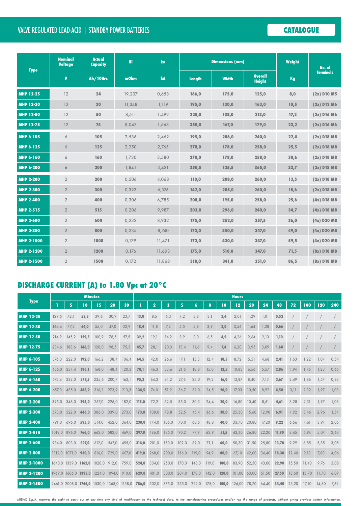# Valve Regulated Lead-Acid | STANDBY POWER BATTERIES **CATALOGUE**

| <b>Type</b>       | <b>Nominal</b><br><b>Voltage</b> | <b>Actual</b><br><b>Capacity</b> | Ri     | <b>Isc</b> |        | <b>Dimensions (mm)</b> | Weight                          | No. of |                                       |  |
|-------------------|----------------------------------|----------------------------------|--------|------------|--------|------------------------|---------------------------------|--------|---------------------------------------|--|
|                   | $\mathbf v$                      | Ah/10Hrs                         | mOhm   | kA         | Length | <b>Width</b>           | <b>Overall</b><br><b>Height</b> | Kg     | <b>Terminals</b>                      |  |
| <b>MHP 12-25</b>  | 12                               | 24                               | 19,207 | 0,653      | 166,0  | 175,0                  | 125,0                           | 8,0    | $(2x)$ D <sub>10</sub> M <sub>5</sub> |  |
| <b>MHP 12-30</b>  | 12                               | 30                               | 11,348 | 1,119      | 195,0  | 130,0                  | 163,0                           | 10,5   | $(2x)$ D12 M6                         |  |
| <b>MHP 12-50</b>  | 12                               | 50                               | 8,511  | 1,492      | 228,0  | 138,0                  | 213,0                           | 17,2   | $(2x)$ D16 M6                         |  |
| <b>MHP 12-75</b>  | 12                               | 74                               | 8,047  | 1,563      | 350,0  | 167,0                  | 179,0                           | 23,2   | $(2x)$ D <sub>16</sub> M <sub>6</sub> |  |
| <b>MHP 6-105</b>  | 6                                | 105                              | 2,536  | 2,462      | 195,0  | 206,0                  | 240,0                           | 22,4   | $(2x)$ D18 M8                         |  |
| <b>MHP 6-125</b>  | 6                                | 125                              | 2,250  | 2,765      | 278,0  | 178,0                  | 258,0                           | 25,5   | $(2x)$ D18 M8                         |  |
| <b>MHP 6-160</b>  | 6                                | 160                              | 1,730  | 3,580      | 278,0  | 178,0                  | 258,0                           | 30,6   | $(2x)$ D18 M8                         |  |
| <b>MHP 6-200</b>  | 6                                | 200                              | 1,841  | 3,421      | 250,5  | 125,5                  | 365,0                           | 33,7   | $(2x)$ D18 M8                         |  |
| <b>MHP 2-200</b>  | $\sqrt{2}$                       | 200                              | 0,506  | 4,068      | 110,0  | 208,0                  | 260,0                           | 13,5   | $(2x)$ D18 M8                         |  |
| <b>MHP 2-300</b>  | $\overline{2}$                   | 300                              | 0,323  | 6,376      | 142,0  | 205,0                  | 260,0                           | 18,6   | $(2x)$ D18 M8                         |  |
| <b>MHP 2-400</b>  | $\overline{2}$                   | 400                              | 0,306  | 6,785      | 208,0  | 195,0                  | 258,0                           | 25,6   | $(4x)$ D18 M8                         |  |
| <b>MHP 2-515</b>  | $\overline{2}$                   | 515                              | 0,206  | 9,987      | 203,0  | 296,0                  | 240,0                           | 34,7   | $(4x)$ D18 M8                         |  |
| <b>MHP 2-600</b>  | $\overline{2}$                   | 600                              | 0,232  | 8,932      | 175,0  | 252,0                  | 357,5                           | 36,0   | $(4x)$ D20 M8                         |  |
| <b>MHP 2-800</b>  | $\overline{2}$                   | 800                              | 0,235  | 8,740      | 173,0  | 350,0                  | 347,0                           | 49,0   | $(4x)$ D20 M8                         |  |
| <b>MHP 2-1000</b> | $\overline{2}$                   | 1000                             | 0,179  | 11,471     | 173,0  | 430,0                  | 347,0                           | 59,5   | $(4x)$ D <sub>20</sub> M <sub>8</sub> |  |
| <b>MHP 2-1200</b> | $\overline{2}$                   | 1200                             | 0,176  | 11,693     | 175,0  | 510,0                  | 347,0                           | 71,5   | $(8x)$ D18 M8                         |  |
| <b>MHP 2-1500</b> | $\overline{2}$                   | 1500                             | 0,172  | 11,868     | 318,0  | 341,0                  | 351,0                           | 86,5   | $(8x)$ D18 M8                         |  |

# **DISCHARGE CURRENT (A) to 1.80 Vpc at 20°C**

| <b>Type</b>       | <b>Minutes</b> |                             |        |        |        |        | <b>Hours</b> |             |       |       |       |       |       |        |       |       |       |       |       |       |      |
|-------------------|----------------|-----------------------------|--------|--------|--------|--------|--------------|-------------|-------|-------|-------|-------|-------|--------|-------|-------|-------|-------|-------|-------|------|
|                   |                | 5                           | 10     | 15     | 20     | 30     |              | $\mathbf 2$ | 3     | 5     | 6     | 8     | 10    | 12     | 20    | 24    | 48    | 72    | 100   | 120   | 240  |
| <b>MHP 12-25</b>  | 129,5          | 72,1                        | 52,3   | 39.6   | 30,9   | 23,7   | 13,8         | 8,5         | 6,3   | 4,2   | 3,8   | 3,1   | 2,4   | 2,01   | 1,29  | 1,01  | 0,52  |       |       |       |      |
| <b>MHP 12-30</b>  | 164,4          | 77,2                        | 64,0   | 55,0   | 47,0   | 32,9   | 18,4         | 11,8        | 7,2   | 5,5   | 4,8   | 3,9   | 3,0   | 2,56   | 1,64  | 1,28  | 0,66  |       |       |       |      |
| <b>MHP 12-50</b>  | 214,9          | 145,2                       | 129,5  | 100,9  | 78,5   | 57,5   | 32,2         | 19,1        | 14,2  | 8,9   | 8,0   | 6,5   | 4,9   | 4,26   | 2,64  | 2,13  | 1,10  |       |       |       |      |
| <b>MHP 12-75</b>  | 284,6          | 188,6                       | 146,0  | 120.0  | 98,5   | 75,3   | 45,7         | 28,1        | 20,3  | 13,4  | 11,6  | 9,4   | 7,4   | 6,20   | 3,95  | 3,09  | 1,60  |       |       |       |      |
| <b>MHP 6-105</b>  | 376.0          | 222,0                       | 192,0  | 166,2  | 138,4  | 106,4  | 64,5         | 42,0        | 26,6  | 17,1  | 15,3  | 12,4  | 10,5  | 8,72   | 5,51  | 4,68  | 2,41  | 1,63  | 1,22  | 1,04  | 0,54 |
| <b>MHP 6-125</b>  | 456,0          | 234,4                       | 196.1  | 168,0  | 148,4  | 120,3  | 78,1         | 46,3        | 33,6  | 21,6  | 18,8  | 15,0  | 12,5  | 10,83  | 6,56  | 5,57  | 2,86  | 1,94  | 1,45  | 1,23  | 0,65 |
| <b>MHP 6-160</b>  | 574.4          | 332,0                       | 277,5  | 235,6  | 200,7  | 163,1  | 95,3         | 64,3        | 41,2  | 27,6  | 24,0  | 19,2  | 16,0  | 13,87  | 8,40  | 7,13  | 3,67  | 2,49  | 1,86  | 1,57  | 0,83 |
| <b>MHP 6-200</b>  | 657,0          | 485,0                       | 383,2  | 316,2  | 273,9  | 213,3  | 134,5        | 74,0        | 51,9  | 36,7  | 32,0  | 24,5  | 20,0  | 17,33  | 10,50 | 8,92  | 4,58  | 3,11  | 2,32  | 1,97  | 1,03 |
| <b>MHP 2-200</b>  | 395.0          | 348.0                       | 298.0  | 257.0  | 226.0  | 182.0  | 115,0        | 72,2        | 52,5  | 35,0  | 30,3  | 24,4  | 20,0  | 16,80  | 10.40 | 8,61  | 4,61  | 3,28  | 2,31  | 1,97  | 1.03 |
| <b>MHP 2-300</b>  | 593,0          | 522,0                       | 446.0  | 386,0  | 339.0  | 273,0  | 173,0        | 108,0       | 78,8  | 52,5  | 45,4  | 36,6  | 30,0  | 25,30  | 15,60 | 12,90 | 6,91  | 4,92  | 3,46  | 2,96  | 1,54 |
| <b>MHP 2-400</b>  | 791,0          | 696.0                       | 595.0  | 514.0  | 452,0  | 364.0  | 230,0        | 144,0       | 105,0 | 70,0  | 60,5  | 48,8  | 40,0  | 33,70  | 20,80 | 17,20 | 9,22  | 6,56  | 4,61  | 3,94  | 2,05 |
| <b>MHP 2-515</b>  | 1018,0         | 896,0                       | 766.0  | 662,0  | 582,0  | 469.0  | 297,0        | 186,0       | 135,0 | 90,2  | 77,9  | 62,9  | 51,5  | 43,40  | 26,80 | 22,20 | 11,90 | 8,45  | 5,94  | 5,07  | 2,64 |
| <b>MHP 2-600</b>  | 984.0          | 803.0                       | 697.0  | 612.0  | 547,0  | 455.0  | 314,0        | 201,0       | 150,0 | 102,0 | 89,0  | 71,1  | 60,0  | 50,30  | 31,50 | 25,80 | 13,70 | 9,29  | 6,85  | 5,85  | 3,05 |
| <b>MHP 2-800</b>  | 1312,0         | 1071.0                      | 930,0  | 816.0  | 729,0  | 607.0  | 419,0        | 268,0       | 200,0 | 136,0 | 119.0 | 94,9  | 80,0  | 67,10  | 42,00 | 34,40 | 18,30 | 12,40 | 9,13  | 7,80  | 4,06 |
| <b>MHP 2-1000</b> | 1640.0         | 1339.0                      | 1162.0 | 1020.0 | 912,0  | 759.0  | 524,0        | 334,0       | 250,0 | 170,0 | 148,0 | 119,0 | 100.0 | 83,90  | 52,50 | 43,00 | 22,90 | 15,50 | 11.40 | 9,76  | 5,08 |
| <b>MHP 2-1200</b> | 1969.0         | 1606,0                      | 1395,0 | 1224.0 | 1094.0 | 910.0  | 629,0        | 401,0       | 300,0 | 204,0 | 178,0 | 142,0 | 120,0 | 101,00 | 63,00 | 51,50 | 27,50 | 18,60 | 13,70 | 11,70 | 6,09 |
| <b>MHP 2-1500</b> |                | 2461,0 2008,0 1744,0 1530,0 |        |        | 1368.0 | 1138.0 | 786,0        | 502,0       | 375,0 | 255,0 | 222,0 | 178.0 | 150,0 | 126,00 | 78,70 | 64.40 | 34,40 | 23.20 | 17.10 | 14,60 | 7,61 |

*MIDAC S.p.A. reserves the right to carry out at any time any kind of modification to the technical data, to the manufacturing procedures and/or top the range of products, without giving previous written information.*